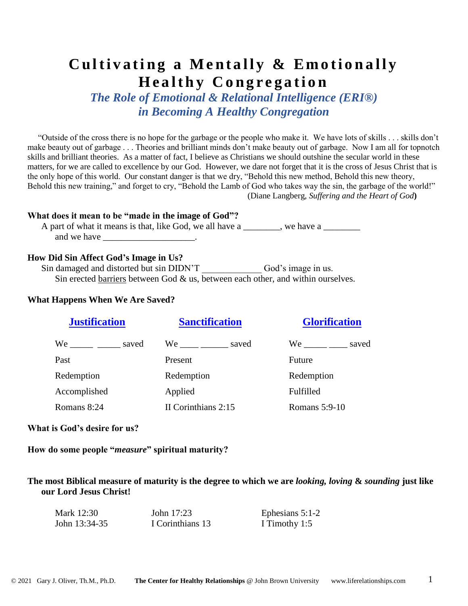# **Cultivating a Mentally & Emotionally Healthy Congregation**

*The Role of Emotional & Relational Intelligence (ERI®) in Becoming A Healthy Congregation*

 "Outside of the cross there is no hope for the garbage or the people who make it. We have lots of skills . . . skills don't make beauty out of garbage . . . Theories and brilliant minds don't make beauty out of garbage. Now I am all for topnotch skills and brilliant theories. As a matter of fact, I believe as Christians we should outshine the secular world in these matters, for we are called to excellence by our God. However, we dare not forget that it is the cross of Jesus Christ that is the only hope of this world. Our constant danger is that we dry, "Behold this new method, Behold this new theory, Behold this new training," and forget to cry, "Behold the Lamb of God who takes way the sin, the garbage of the world!" (Diane Langberg, *Suffering and the Heart of God***)**

### **What does it mean to be "made in the image of God"?**

A part of what it means is that, like God, we all have a \_\_\_\_\_\_, we have a \_\_\_\_\_\_\_ and we have \_\_\_\_\_\_\_\_\_\_\_\_\_\_\_\_\_\_\_\_\_.

### **How Did Sin Affect God's Image in Us?**

Sin damaged and distorted but sin DIDN'T God's image in us. Sin erected barriers between God & us, between each other, and within ourselves.

#### **What Happens When We Are Saved?**

| <b>Justification</b> | <b>Sanctification</b>                                                                                                                                                                                                                  | <b>Glorification</b>                                                                                                                                                                                                                    |
|----------------------|----------------------------------------------------------------------------------------------------------------------------------------------------------------------------------------------------------------------------------------|-----------------------------------------------------------------------------------------------------------------------------------------------------------------------------------------------------------------------------------------|
| We<br>saved          | We was a set of the set of the set of the set of the set of the set of the set of the set of the set of the set of the set of the set of the set of the set of the set of the set of the set of the set of the set of the set<br>saved | We not be a set of the set of the set of the set of the set of the set of the set of the set of the set of the set of the set of the set of the set of the set of the set of the set of the set of the set of the set of the s<br>saved |
| Past                 | Present                                                                                                                                                                                                                                | Future                                                                                                                                                                                                                                  |
| Redemption           | Redemption                                                                                                                                                                                                                             | Redemption                                                                                                                                                                                                                              |
| Accomplished         | Applied                                                                                                                                                                                                                                | Fulfilled                                                                                                                                                                                                                               |
| Romans 8:24          | II Corinthians 2:15                                                                                                                                                                                                                    | Romans 5:9-10                                                                                                                                                                                                                           |

#### **What is God's desire for us?**

**How do some people "***measure***" spiritual maturity?**

### **The most Biblical measure of maturity is the degree to which we are** *looking, loving* **&** *sounding* **just like our Lord Jesus Christ!**

| Mark 12:30    | John 17:23       | Ephesians 5:1-2 |
|---------------|------------------|-----------------|
| John 13:34-35 | I Corinthians 13 | I Timothy 1:5   |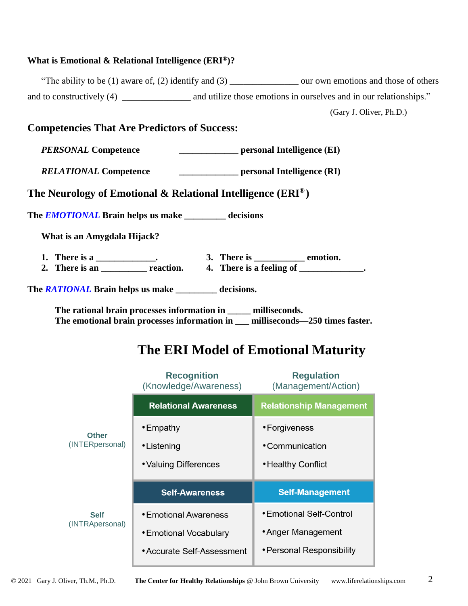| What is Emotional & Relational Intelligence ( $ERI^{\circledast}$ )?                                           |                                                |
|----------------------------------------------------------------------------------------------------------------|------------------------------------------------|
|                                                                                                                |                                                |
|                                                                                                                |                                                |
|                                                                                                                | (Gary J. Oliver, Ph.D.)                        |
| <b>Competencies That Are Predictors of Success:</b>                                                            |                                                |
| <b>PERSONAL Competence</b>                                                                                     | <b>EXAMPLE 2014</b> Personal Intelligence (EI) |
| <i>RELATIONAL</i> Competence ______________ personal Intelligence (RI)                                         |                                                |
| The Neurology of Emotional & Relational Intelligence $(ERI^{\circledast})$                                     |                                                |
| The <b>EMOTIONAL</b> Brain helps us make _________ decisions                                                   |                                                |
| What is an Amygdala Hijack?                                                                                    |                                                |
| 1. There is a _____________.<br>2. There is an ____________ reaction. 4. There is a feeling of ______________. |                                                |
|                                                                                                                |                                                |
| The <i>RATIONAL</i> Brain helps us make ________ decisions.                                                    |                                                |
| The retional brown precesses information in milliseconds                                                       |                                                |

**The rational brain processes information in \_\_\_\_\_ milliseconds. The emotional brain processes information in \_\_\_ milliseconds—250 times faster.**

# **The ERI Model of Emotional Maturity**

|                                 | <b>Recognition</b><br>(Knowledge/Awareness) | <b>Regulation</b><br>(Management/Action) |
|---------------------------------|---------------------------------------------|------------------------------------------|
|                                 | <b>Relational Awareness</b>                 | <b>Relationship Management</b>           |
| <b>Other</b><br>(INTERpersonal) | •Empathy                                    | • Forgiveness                            |
|                                 | •Listening                                  | • Communication                          |
|                                 | • Valuing Differences                       | • Healthy Conflict                       |
|                                 | <b>Self-Awareness</b>                       | <b>Self-Management</b>                   |
| <b>Self</b><br>(INTRApersonal)  | • Emotional Awareness                       | • Emotional Self-Control                 |
|                                 | • Emotional Vocabulary                      | • Anger Management                       |
|                                 | • Accurate Self-Assessment                  | • Personal Responsibility                |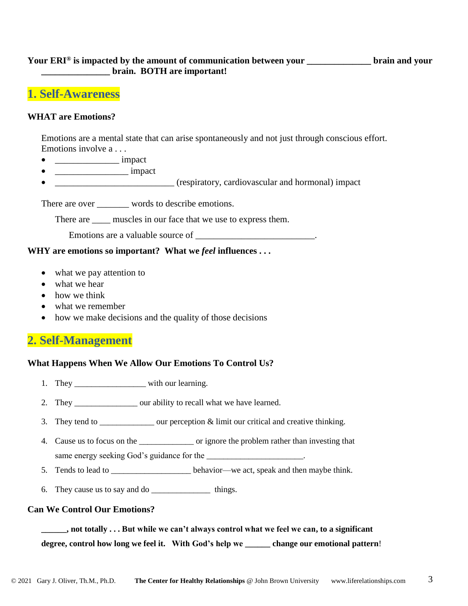### **Your ERI ® is impacted by the amount of communication between your \_\_\_\_\_\_\_\_\_\_\_\_\_\_ brain and your EXECUTE: brain. BOTH are important!**

# **1. Self-Awareness**

### **WHAT are Emotions?**

Emotions are a mental state that can arise spontaneously and not just through conscious effort. Emotions involve a . . .

- \_\_\_\_\_\_\_\_\_\_\_\_\_\_ impact
- \_\_\_\_\_\_\_\_\_\_\_\_\_\_\_\_ impact
- **Example 3** (respiratory, cardiovascular and hormonal) impact

There are over \_\_\_\_\_\_\_\_ words to describe emotions.

There are muscles in our face that we use to express them.

Emotions are a valuable source of \_\_\_\_\_\_\_\_\_\_\_\_\_\_\_\_\_\_\_\_\_\_\_\_\_\_.

### **WHY are emotions so important? What we** *feel* **influences . . .**

- what we pay attention to
- what we hear
- how we think
- what we remember
- how we make decisions and the quality of those decisions

# **2. Self-Management**

### **What Happens When We Allow Our Emotions To Control Us?**

- 1. They \_\_\_\_\_\_\_\_\_\_\_\_\_\_\_\_\_\_\_\_\_\_\_\_ with our learning.
- 2. They \_\_\_\_\_\_\_\_\_\_\_\_\_\_\_\_\_ our ability to recall what we have learned.
- 3. They tend to  $\frac{1}{\sqrt{2}}$  our perception & limit our critical and creative thinking.
- 4. Cause us to focus on the \_\_\_\_\_\_\_\_\_\_\_\_\_ or ignore the problem rather than investing that same energy seeking God's guidance for the
- 5. Tends to lead to \_\_\_\_\_\_\_\_\_\_\_\_\_\_\_\_\_\_\_ behavior—we act, speak and then maybe think.
- 6. They cause us to say and do things.

### **Can We Control Our Emotions?**

**\_\_\_\_\_\_, not totally . . . But while we can't always control what we feel we can, to a significant degree, control how long we feel it. With God's help we \_\_\_\_\_\_ change our emotional pattern**!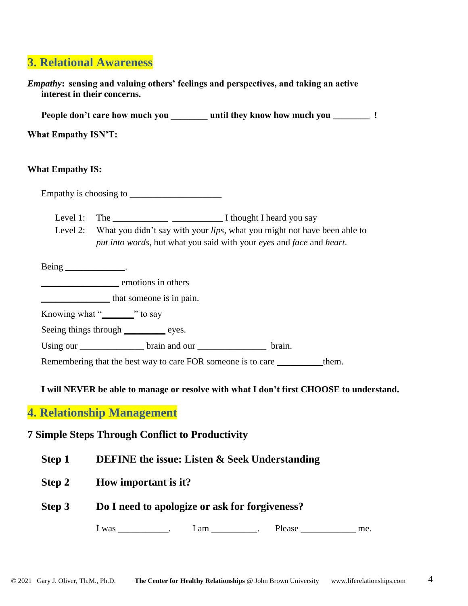# **3. Relational Awareness**

| interest in their concerns. |                                                        | <i>Empathy</i> : sensing and valuing others' feelings and perspectives, and taking an active                                                              |  |
|-----------------------------|--------------------------------------------------------|-----------------------------------------------------------------------------------------------------------------------------------------------------------|--|
|                             |                                                        | People don't care how much you _________ until they know how much you __________ !                                                                        |  |
| <b>What Empathy ISN'T:</b>  |                                                        |                                                                                                                                                           |  |
| <b>What Empathy IS:</b>     |                                                        |                                                                                                                                                           |  |
|                             |                                                        |                                                                                                                                                           |  |
|                             |                                                        | Level 2: What you didn't say with your lips, what you might not have been able to<br>put into words, but what you said with your eyes and face and heart. |  |
| Being _______________.      | emotions in others<br>that someone is in pain.         |                                                                                                                                                           |  |
|                             | Knowing what "________" to say                         |                                                                                                                                                           |  |
|                             | Seeing things through ________ eyes.                   |                                                                                                                                                           |  |
|                             |                                                        |                                                                                                                                                           |  |
|                             |                                                        | Remembering that the best way to care FOR someone is to care _____________them.                                                                           |  |
|                             |                                                        | I will NEVER be able to manage or resolve with what I don't first CHOOSE to understand.                                                                   |  |
|                             | <b>4. Relationship Management</b>                      |                                                                                                                                                           |  |
|                             | <b>7 Simple Steps Through Conflict to Productivity</b> |                                                                                                                                                           |  |
| Step 1                      |                                                        | <b>DEFINE</b> the issue: Listen & Seek Understanding                                                                                                      |  |
| Step 2                      | How important is it?                                   |                                                                                                                                                           |  |

**Step 3 Do I need to apologize or ask for forgiveness?** 

I was \_\_\_\_\_\_\_\_\_\_\_. I am \_\_\_\_\_\_\_\_\_\_. Please \_\_\_\_\_\_\_\_\_\_\_\_\_ me.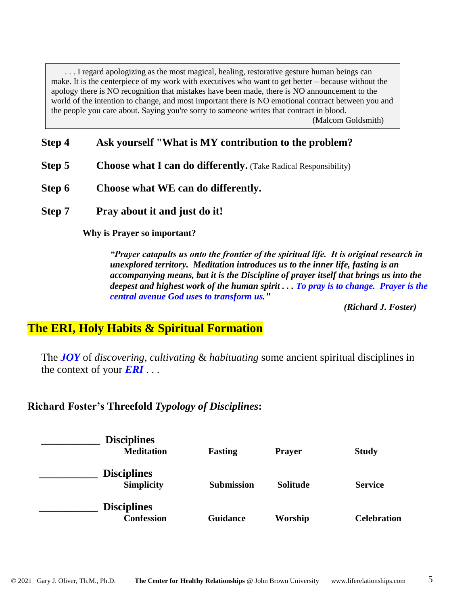. . . I regard apologizing as the most magical, healing, restorative gesture human beings can make. It is the centerpiece of my work with executives who want to get better – because without the apology there is NO recognition that mistakes have been made, there is NO announcement to the world of the intention to change, and most important there is NO emotional contract between you and the people you care about. Saying you're sorry to someone writes that contract in blood.

(Malcom Goldsmith)

## **Step 4 Ask yourself "What is MY contribution to the problem?**

- **Step 5** Choose what I can do differently. (Take Radical Responsibility)
- **Step 6 Choose what WE can do differently.**
- **Step 7 Pray about it and just do it!**

**Why is Prayer so important?**

*"Prayer catapults us onto the frontier of the spiritual life. It is original research in unexplored territory. Meditation introduces us to the inner life, fasting is an accompanying means, but it is the Discipline of prayer itself that brings us into the deepest and highest work of the human spirit . . . To pray is to change. Prayer is the central avenue God uses to transform us."*

*(Richard J. Foster)*

# **The ERI, Holy Habits & Spiritual Formation**

The *JOY* of *discovering*, *cultivating* & *habituating* some ancient spiritual disciplines in the context of your *ERI* . . .

### **Richard Foster's Threefold** *Typology of Disciplines***:**

| <b>Disciplines</b><br><b>Meditation</b> | <b>Fasting</b>    | <b>Prayer</b>   | <b>Study</b>       |
|-----------------------------------------|-------------------|-----------------|--------------------|
| <b>Disciplines</b><br><b>Simplicity</b> | <b>Submission</b> | <b>Solitude</b> | <b>Service</b>     |
| <b>Disciplines</b><br><b>Confession</b> | <b>Guidance</b>   | Worship         | <b>Celebration</b> |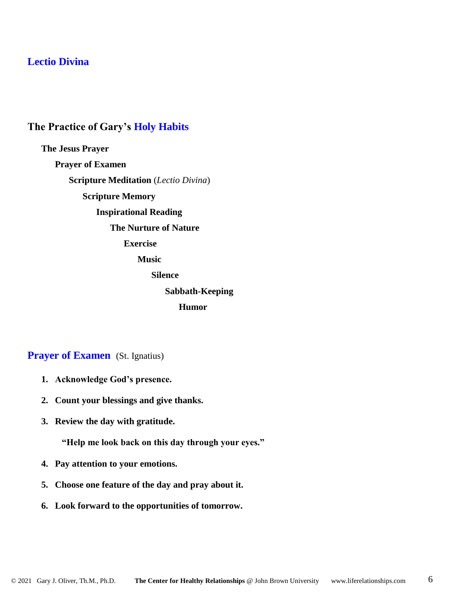## **Lectio Divina**

## **The Practice of Gary's Holy Habits**

**The Jesus Prayer Prayer of Examen Scripture Meditation** (*Lectio Divina*) **Scripture Memory Inspirational Reading The Nurture of Nature Exercise Music Silence Sabbath-Keeping Humor**

## **Prayer of Examen** (St. Ignatius)

- **1. Acknowledge God's presence.**
- **2. Count your blessings and give thanks.**
- **3. Review the day with gratitude.**

 **"Help me look back on this day through your eyes."**

- **4. Pay attention to your emotions.**
- **5. Choose one feature of the day and pray about it.**
- **6. Look forward to the opportunities of tomorrow.**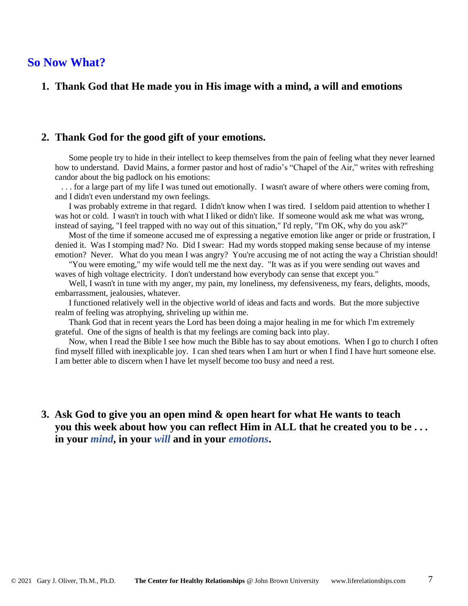# **So Now What?**

### **1. Thank God that He made you in His image with a mind, a will and emotions**

### **2. Thank God for the good gift of your emotions.**

Some people try to hide in their intellect to keep themselves from the pain of feeling what they never learned how to understand. David Mains, a former pastor and host of radio's "Chapel of the Air," writes with refreshing candor about the big padlock on his emotions:

 . . . for a large part of my life I was tuned out emotionally. I wasn't aware of where others were coming from, and I didn't even understand my own feelings.

I was probably extreme in that regard. I didn't know when I was tired. I seldom paid attention to whether I was hot or cold. I wasn't in touch with what I liked or didn't like. If someone would ask me what was wrong, instead of saying, "I feel trapped with no way out of this situation," I'd reply, "I'm OK, why do you ask?"

Most of the time if someone accused me of expressing a negative emotion like anger or pride or frustration, I denied it. Was I stomping mad? No. Did I swear: Had my words stopped making sense because of my intense emotion? Never. What do you mean I was angry? You're accusing me of not acting the way a Christian should!

"You were emoting," my wife would tell me the next day. "It was as if you were sending out waves and waves of high voltage electricity. I don't understand how everybody can sense that except you."

Well, I wasn't in tune with my anger, my pain, my loneliness, my defensiveness, my fears, delights, moods, embarrassment, jealousies, whatever.

I functioned relatively well in the objective world of ideas and facts and words. But the more subjective realm of feeling was atrophying, shriveling up within me.

Thank God that in recent years the Lord has been doing a major healing in me for which I'm extremely grateful. One of the signs of health is that my feelings are coming back into play.

Now, when I read the Bible I see how much the Bible has to say about emotions. When I go to church I often find myself filled with inexplicable joy. I can shed tears when I am hurt or when I find I have hurt someone else. I am better able to discern when I have let myself become too busy and need a rest.

## **3. Ask God to give you an open mind & open heart for what He wants to teach you this week about how you can reflect Him in ALL that he created you to be . . . in your** *mind***, in your** *will* **and in your** *emotions***.**